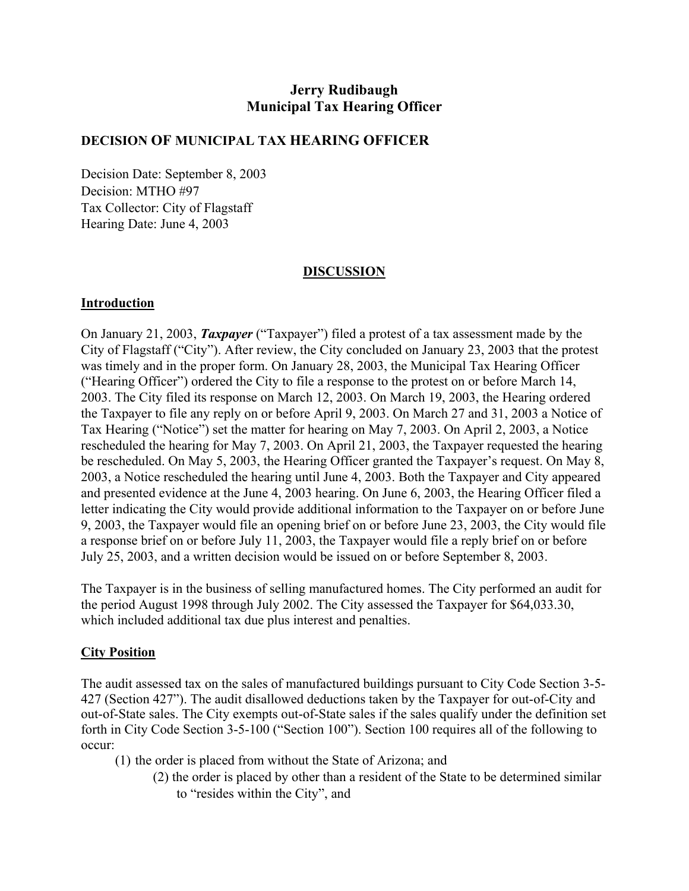# **Jerry Rudibaugh Municipal Tax Hearing Officer**

#### **DECISION OF MUNICIPAL TAX HEARING OFFICER**

Decision Date: September 8, 2003 Decision: MTHO #97 Tax Collector: City of Flagstaff Hearing Date: June 4, 2003

#### **DISCUSSION**

#### **Introduction**

On January 21, 2003, *Taxpayer* ("Taxpayer") filed a protest of a tax assessment made by the City of Flagstaff ("City"). After review, the City concluded on January 23, 2003 that the protest was timely and in the proper form. On January 28, 2003, the Municipal Tax Hearing Officer ("Hearing Officer") ordered the City to file a response to the protest on or before March 14, 2003. The City filed its response on March 12, 2003. On March 19, 2003, the Hearing ordered the Taxpayer to file any reply on or before April 9, 2003. On March 27 and 31, 2003 a Notice of Tax Hearing ("Notice") set the matter for hearing on May 7, 2003. On April 2, 2003, a Notice rescheduled the hearing for May 7, 2003. On April 21, 2003, the Taxpayer requested the hearing be rescheduled. On May 5, 2003, the Hearing Officer granted the Taxpayer's request. On May 8, 2003, a Notice rescheduled the hearing until June 4, 2003. Both the Taxpayer and City appeared and presented evidence at the June 4, 2003 hearing. On June 6, 2003, the Hearing Officer filed a letter indicating the City would provide additional information to the Taxpayer on or before June 9, 2003, the Taxpayer would file an opening brief on or before June 23, 2003, the City would file a response brief on or before July 11, 2003, the Taxpayer would file a reply brief on or before July 25, 2003, and a written decision would be issued on or before September 8, 2003.

The Taxpayer is in the business of selling manufactured homes. The City performed an audit for the period August 1998 through July 2002. The City assessed the Taxpayer for \$64,033.30, which included additional tax due plus interest and penalties.

## **City Position**

The audit assessed tax on the sales of manufactured buildings pursuant to City Code Section 3-5- 427 (Section 427"). The audit disallowed deductions taken by the Taxpayer for out-of-City and out-of-State sales. The City exempts out-of-State sales if the sales qualify under the definition set forth in City Code Section 3-5-100 ("Section 100"). Section 100 requires all of the following to occur:

- (1) the order is placed from without the State of Arizona; and
	- (2) the order is placed by other than a resident of the State to be determined similar to "resides within the City", and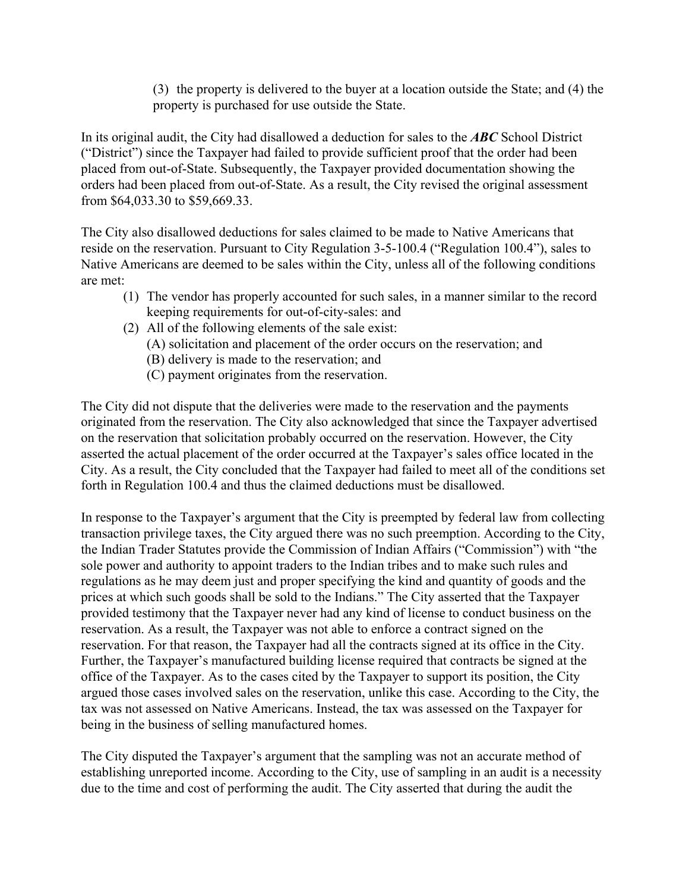(3) the property is delivered to the buyer at a location outside the State; and (4) the property is purchased for use outside the State.

In its original audit, the City had disallowed a deduction for sales to the *ABC* School District ("District") since the Taxpayer had failed to provide sufficient proof that the order had been placed from out-of-State. Subsequently, the Taxpayer provided documentation showing the orders had been placed from out-of-State. As a result, the City revised the original assessment from \$64,033.30 to \$59,669.33.

The City also disallowed deductions for sales claimed to be made to Native Americans that reside on the reservation. Pursuant to City Regulation 3-5-100.4 ("Regulation 100.4"), sales to Native Americans are deemed to be sales within the City, unless all of the following conditions are met:

- (1) The vendor has properly accounted for such sales, in a manner similar to the record keeping requirements for out-of-city-sales: and
- (2) All of the following elements of the sale exist:
	- (A) solicitation and placement of the order occurs on the reservation; and
	- (B) delivery is made to the reservation; and
	- (C) payment originates from the reservation.

The City did not dispute that the deliveries were made to the reservation and the payments originated from the reservation. The City also acknowledged that since the Taxpayer advertised on the reservation that solicitation probably occurred on the reservation. However, the City asserted the actual placement of the order occurred at the Taxpayer's sales office located in the City. As a result, the City concluded that the Taxpayer had failed to meet all of the conditions set forth in Regulation 100.4 and thus the claimed deductions must be disallowed.

In response to the Taxpayer's argument that the City is preempted by federal law from collecting transaction privilege taxes, the City argued there was no such preemption. According to the City, the Indian Trader Statutes provide the Commission of Indian Affairs ("Commission") with "the sole power and authority to appoint traders to the Indian tribes and to make such rules and regulations as he may deem just and proper specifying the kind and quantity of goods and the prices at which such goods shall be sold to the Indians." The City asserted that the Taxpayer provided testimony that the Taxpayer never had any kind of license to conduct business on the reservation. As a result, the Taxpayer was not able to enforce a contract signed on the reservation. For that reason, the Taxpayer had all the contracts signed at its office in the City. Further, the Taxpayer's manufactured building license required that contracts be signed at the office of the Taxpayer. As to the cases cited by the Taxpayer to support its position, the City argued those cases involved sales on the reservation, unlike this case. According to the City, the tax was not assessed on Native Americans. Instead, the tax was assessed on the Taxpayer for being in the business of selling manufactured homes.

The City disputed the Taxpayer's argument that the sampling was not an accurate method of establishing unreported income. According to the City, use of sampling in an audit is a necessity due to the time and cost of performing the audit. The City asserted that during the audit the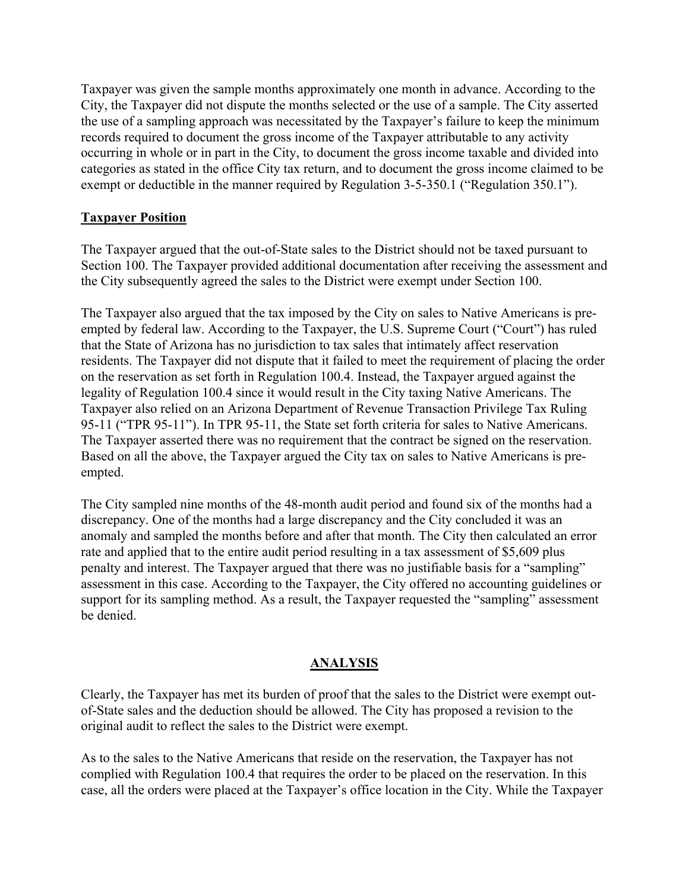Taxpayer was given the sample months approximately one month in advance. According to the City, the Taxpayer did not dispute the months selected or the use of a sample. The City asserted the use of a sampling approach was necessitated by the Taxpayer's failure to keep the minimum records required to document the gross income of the Taxpayer attributable to any activity occurring in whole or in part in the City, to document the gross income taxable and divided into categories as stated in the office City tax return, and to document the gross income claimed to be exempt or deductible in the manner required by Regulation 3-5-350.1 ("Regulation 350.1").

# **Taxpayer Position**

The Taxpayer argued that the out-of-State sales to the District should not be taxed pursuant to Section 100. The Taxpayer provided additional documentation after receiving the assessment and the City subsequently agreed the sales to the District were exempt under Section 100.

The Taxpayer also argued that the tax imposed by the City on sales to Native Americans is preempted by federal law. According to the Taxpayer, the U.S. Supreme Court ("Court") has ruled that the State of Arizona has no jurisdiction to tax sales that intimately affect reservation residents. The Taxpayer did not dispute that it failed to meet the requirement of placing the order on the reservation as set forth in Regulation 100.4. Instead, the Taxpayer argued against the legality of Regulation 100.4 since it would result in the City taxing Native Americans. The Taxpayer also relied on an Arizona Department of Revenue Transaction Privilege Tax Ruling 95-11 ("TPR 95-11"). In TPR 95-11, the State set forth criteria for sales to Native Americans. The Taxpayer asserted there was no requirement that the contract be signed on the reservation. Based on all the above, the Taxpayer argued the City tax on sales to Native Americans is preempted.

The City sampled nine months of the 48-month audit period and found six of the months had a discrepancy. One of the months had a large discrepancy and the City concluded it was an anomaly and sampled the months before and after that month. The City then calculated an error rate and applied that to the entire audit period resulting in a tax assessment of \$5,609 plus penalty and interest. The Taxpayer argued that there was no justifiable basis for a "sampling" assessment in this case. According to the Taxpayer, the City offered no accounting guidelines or support for its sampling method. As a result, the Taxpayer requested the "sampling" assessment be denied.

## **ANALYSIS**

Clearly, the Taxpayer has met its burden of proof that the sales to the District were exempt outof-State sales and the deduction should be allowed. The City has proposed a revision to the original audit to reflect the sales to the District were exempt.

As to the sales to the Native Americans that reside on the reservation, the Taxpayer has not complied with Regulation 100.4 that requires the order to be placed on the reservation. In this case, all the orders were placed at the Taxpayer's office location in the City. While the Taxpayer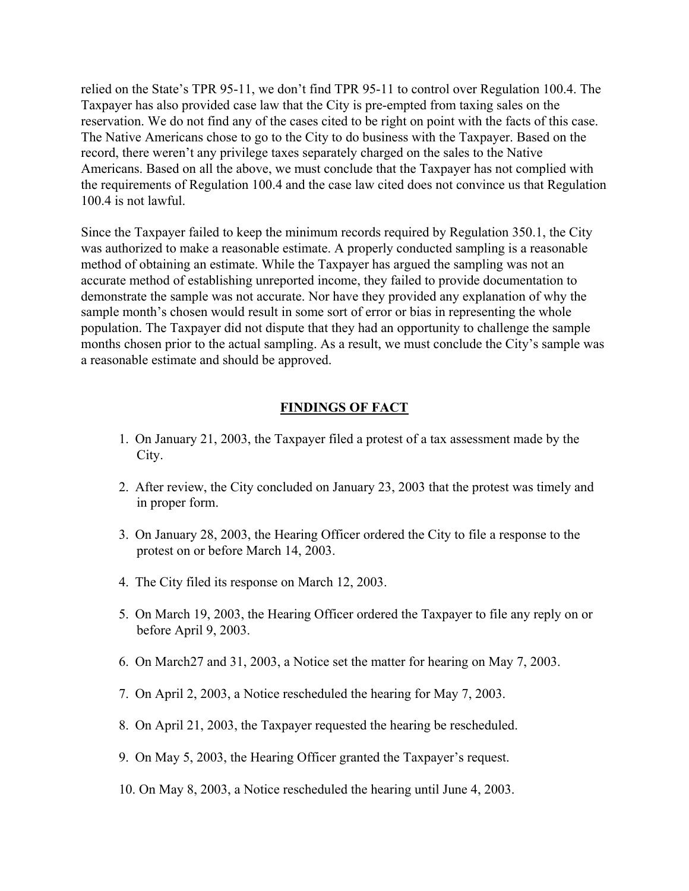relied on the State's TPR 95-11, we don't find TPR 95-11 to control over Regulation 100.4. The Taxpayer has also provided case law that the City is pre-empted from taxing sales on the reservation. We do not find any of the cases cited to be right on point with the facts of this case. The Native Americans chose to go to the City to do business with the Taxpayer. Based on the record, there weren't any privilege taxes separately charged on the sales to the Native Americans. Based on all the above, we must conclude that the Taxpayer has not complied with the requirements of Regulation 100.4 and the case law cited does not convince us that Regulation 100.4 is not lawful.

Since the Taxpayer failed to keep the minimum records required by Regulation 350.1, the City was authorized to make a reasonable estimate. A properly conducted sampling is a reasonable method of obtaining an estimate. While the Taxpayer has argued the sampling was not an accurate method of establishing unreported income, they failed to provide documentation to demonstrate the sample was not accurate. Nor have they provided any explanation of why the sample month's chosen would result in some sort of error or bias in representing the whole population. The Taxpayer did not dispute that they had an opportunity to challenge the sample months chosen prior to the actual sampling. As a result, we must conclude the City's sample was a reasonable estimate and should be approved.

## **FINDINGS OF FACT**

- 1. On January 21, 2003, the Taxpayer filed a protest of a tax assessment made by the City.
- 2. After review, the City concluded on January 23, 2003 that the protest was timely and in proper form.
- 3. On January 28, 2003, the Hearing Officer ordered the City to file a response to the protest on or before March 14, 2003.
- 4. The City filed its response on March 12, 2003.
- 5. On March 19, 2003, the Hearing Officer ordered the Taxpayer to file any reply on or before April 9, 2003.
- 6. On March27 and 31, 2003, a Notice set the matter for hearing on May 7, 2003.
- 7. On April 2, 2003, a Notice rescheduled the hearing for May 7, 2003.
- 8. On April 21, 2003, the Taxpayer requested the hearing be rescheduled.
- 9. On May 5, 2003, the Hearing Officer granted the Taxpayer's request.
- 10. On May 8, 2003, a Notice rescheduled the hearing until June 4, 2003.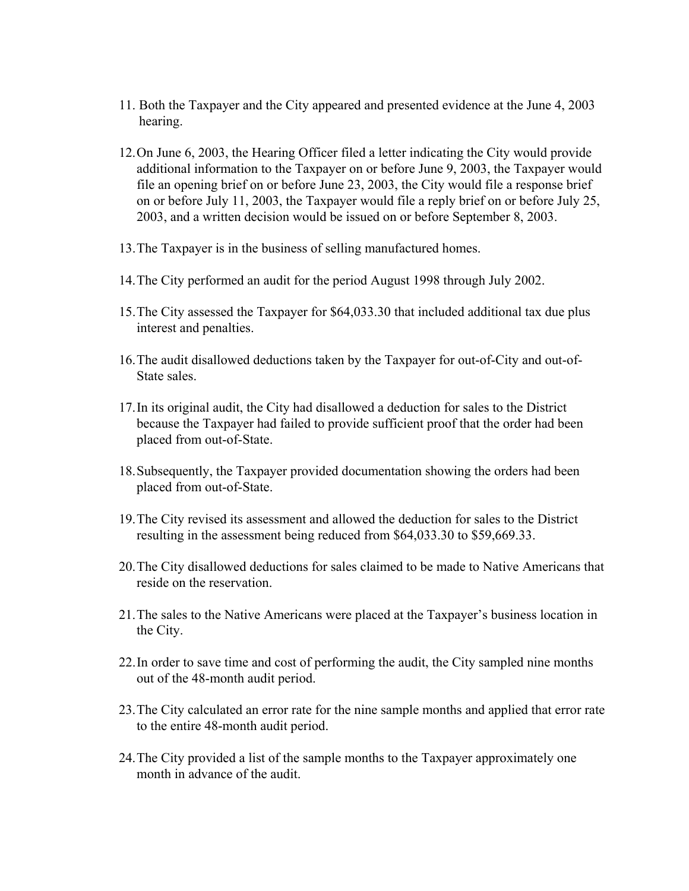- 11. Both the Taxpayer and the City appeared and presented evidence at the June 4, 2003 hearing.
- 12. On June 6, 2003, the Hearing Officer filed a letter indicating the City would provide additional information to the Taxpayer on or before June 9, 2003, the Taxpayer would file an opening brief on or before June 23, 2003, the City would file a response brief on or before July 11, 2003, the Taxpayer would file a reply brief on or before July 25, 2003, and a written decision would be issued on or before September 8, 2003.
- 13. The Taxpayer is in the business of selling manufactured homes.
- 14. The City performed an audit for the period August 1998 through July 2002.
- 15. The City assessed the Taxpayer for \$64,033.30 that included additional tax due plus interest and penalties.
- 16. The audit disallowed deductions taken by the Taxpayer for out-of-City and out-of-State sales.
- 17. In its original audit, the City had disallowed a deduction for sales to the District because the Taxpayer had failed to provide sufficient proof that the order had been placed from out-of-State.
- 18. Subsequently, the Taxpayer provided documentation showing the orders had been placed from out-of-State.
- 19. The City revised its assessment and allowed the deduction for sales to the District resulting in the assessment being reduced from \$64,033.30 to \$59,669.33.
- 20. The City disallowed deductions for sales claimed to be made to Native Americans that reside on the reservation.
- 21. The sales to the Native Americans were placed at the Taxpayer's business location in the City.
- 22. In order to save time and cost of performing the audit, the City sampled nine months out of the 48-month audit period.
- 23. The City calculated an error rate for the nine sample months and applied that error rate to the entire 48-month audit period.
- 24. The City provided a list of the sample months to the Taxpayer approximately one month in advance of the audit.